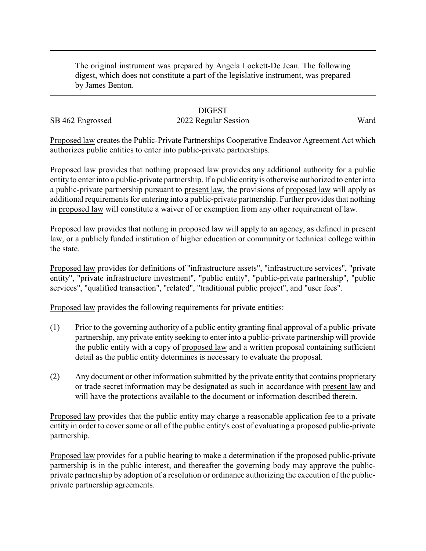The original instrument was prepared by Angela Lockett-De Jean. The following digest, which does not constitute a part of the legislative instrument, was prepared by James Benton.

## **DIGEST**

## SB 462 Engrossed 2022 Regular Session Ward

Proposed law creates the Public-Private Partnerships Cooperative Endeavor Agreement Act which authorizes public entities to enter into public-private partnerships.

Proposed law provides that nothing proposed law provides any additional authority for a public entity to enter into a public-private partnership. If a public entity is otherwise authorized to enter into a public-private partnership pursuant to present law, the provisions of proposed law will apply as additional requirements for entering into a public-private partnership. Further provides that nothing in proposed law will constitute a waiver of or exemption from any other requirement of law.

Proposed law provides that nothing in proposed law will apply to an agency, as defined in present law, or a publicly funded institution of higher education or community or technical college within the state.

Proposed law provides for definitions of "infrastructure assets", "infrastructure services", "private entity", "private infrastructure investment", "public entity", "public-private partnership", "public services", "qualified transaction", "related", "traditional public project", and "user fees".

Proposed law provides the following requirements for private entities:

- (1) Prior to the governing authority of a public entity granting final approval of a public-private partnership, any private entity seeking to enter into a public-private partnership will provide the public entity with a copy of proposed law and a written proposal containing sufficient detail as the public entity determines is necessary to evaluate the proposal.
- (2) Any document or other information submitted by the private entity that contains proprietary or trade secret information may be designated as such in accordance with present law and will have the protections available to the document or information described therein.

Proposed law provides that the public entity may charge a reasonable application fee to a private entity in order to cover some or all of the public entity's cost of evaluating a proposed public-private partnership.

Proposed law provides for a public hearing to make a determination if the proposed public-private partnership is in the public interest, and thereafter the governing body may approve the publicprivate partnership by adoption of a resolution or ordinance authorizing the execution of the publicprivate partnership agreements.